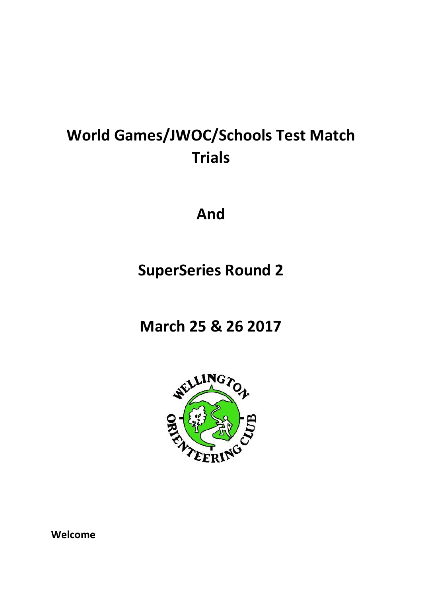# **World Games/JWOC/Schools Test Match Trials**

**And**

## **SuperSeries Round 2**

**March 25 & 26 2017**



**Welcome**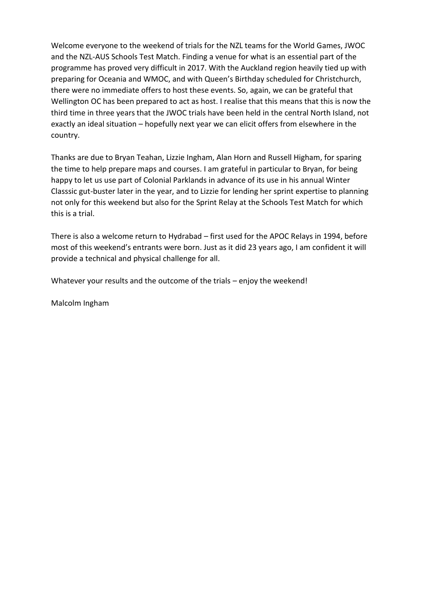Welcome everyone to the weekend of trials for the NZL teams for the World Games, JWOC and the NZL-AUS Schools Test Match. Finding a venue for what is an essential part of the programme has proved very difficult in 2017. With the Auckland region heavily tied up with preparing for Oceania and WMOC, and with Queen's Birthday scheduled for Christchurch, there were no immediate offers to host these events. So, again, we can be grateful that Wellington OC has been prepared to act as host. I realise that this means that this is now the third time in three years that the JWOC trials have been held in the central North Island, not exactly an ideal situation – hopefully next year we can elicit offers from elsewhere in the country.

Thanks are due to Bryan Teahan, Lizzie Ingham, Alan Horn and Russell Higham, for sparing the time to help prepare maps and courses. I am grateful in particular to Bryan, for being happy to let us use part of Colonial Parklands in advance of its use in his annual Winter Classsic gut-buster later in the year, and to Lizzie for lending her sprint expertise to planning not only for this weekend but also for the Sprint Relay at the Schools Test Match for which this is a trial.

There is also a welcome return to Hydrabad – first used for the APOC Relays in 1994, before most of this weekend's entrants were born. Just as it did 23 years ago, I am confident it will provide a technical and physical challenge for all.

Whatever your results and the outcome of the trials – enjoy the weekend!

Malcolm Ingham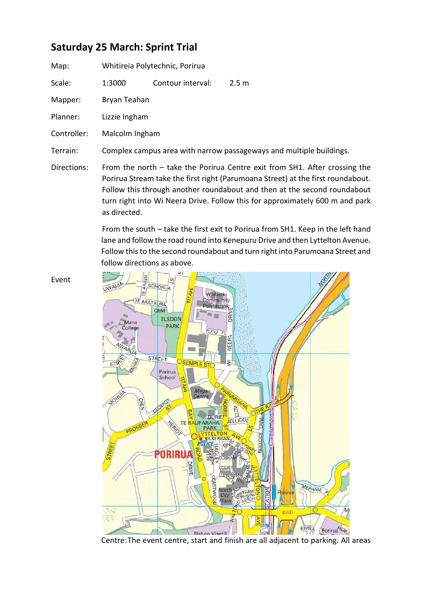### **Saturday 25 March: Sprint Trial**

| Map: | Whitireia Polytechnic, Porirua |
|------|--------------------------------|
|------|--------------------------------|

Scale: 1:3000 Contour interval: 2.5 m

Mapper: Bryan Teahan

Planner: Lizzie Ingham

Controller: Malcolm Ingham

Terrain: Complex campus area with narrow passageways and multiple buildings.

Directions: From the north – take the Porirua Centre exit from SH1. After crossing the Porirua Stream take the first right (Parumoana Street) at the first roundabout. Follow this through another roundabout and then at the second roundabout turn right into Wi Neera Drive. Follow this for approximately 600 m and park as directed.

> From the south – take the first exit to Porirua from SH1. Keep in the left hand lane and follow the road round into Kenepuru Drive and then Lyttelton Avenue. Follow this to the second roundabout and turn right into Parumoana Street and follow directions as above.



Centre:The event centre, start and finish are all adjacent to parking. All areas

Event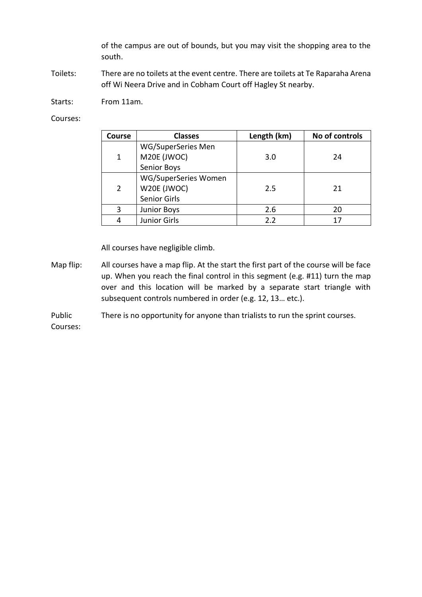of the campus are out of bounds, but you may visit the shopping area to the south.

Toilets: There are no toilets at the event centre. There are toilets at Te Raparaha Arena off Wi Neera Drive and in Cobham Court off Hagley St nearby.

Starts: From 11am.

Courses:

| <b>Course</b>  | <b>Classes</b>       | Length (km) | No of controls |
|----------------|----------------------|-------------|----------------|
|                | WG/SuperSeries Men   |             |                |
| 1              | M20E (JWOC)          | 3.0         | 24             |
|                | Senior Boys          |             |                |
|                | WG/SuperSeries Women |             |                |
| $\overline{2}$ | W20E (JWOC)          | 2.5         | 21             |
|                | Senior Girls         |             |                |
| 3              | <b>Junior Boys</b>   | 2.6         | 20             |
|                | <b>Junior Girls</b>  | 2.2         | 17             |

All courses have negligible climb.

Map flip: All courses have a map flip. At the start the first part of the course will be face up. When you reach the final control in this segment (e.g. #11) turn the map over and this location will be marked by a separate start triangle with subsequent controls numbered in order (e.g. 12, 13… etc.).

Public There is no opportunity for anyone than trialists to run the sprint courses.

Courses: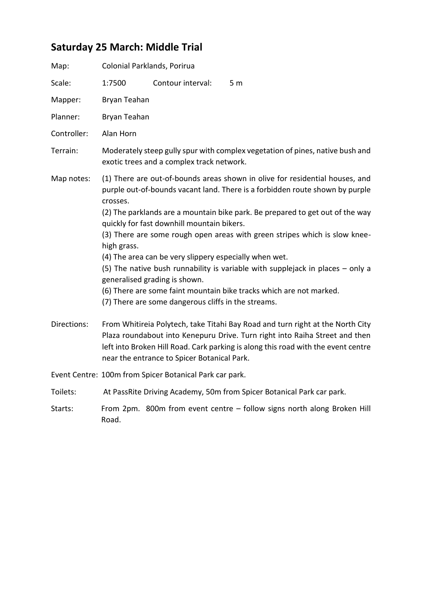## **Saturday 25 March: Middle Trial**

| Map:        | Colonial Parklands, Porirua |                                                                                                                                                                                              |                                                                                                                                                                                                                                                                                                                                                                                                                                                                                        |
|-------------|-----------------------------|----------------------------------------------------------------------------------------------------------------------------------------------------------------------------------------------|----------------------------------------------------------------------------------------------------------------------------------------------------------------------------------------------------------------------------------------------------------------------------------------------------------------------------------------------------------------------------------------------------------------------------------------------------------------------------------------|
| Scale:      | 1:7500                      | Contour interval:                                                                                                                                                                            | 5 <sub>m</sub>                                                                                                                                                                                                                                                                                                                                                                                                                                                                         |
| Mapper:     | Bryan Teahan                |                                                                                                                                                                                              |                                                                                                                                                                                                                                                                                                                                                                                                                                                                                        |
| Planner:    | Bryan Teahan                |                                                                                                                                                                                              |                                                                                                                                                                                                                                                                                                                                                                                                                                                                                        |
| Controller: | Alan Horn                   |                                                                                                                                                                                              |                                                                                                                                                                                                                                                                                                                                                                                                                                                                                        |
| Terrain:    |                             | exotic trees and a complex track network.                                                                                                                                                    | Moderately steep gully spur with complex vegetation of pines, native bush and                                                                                                                                                                                                                                                                                                                                                                                                          |
| Map notes:  | crosses.<br>high grass.     | quickly for fast downhill mountain bikers.<br>(4) The area can be very slippery especially when wet.<br>generalised grading is shown.<br>(7) There are some dangerous cliffs in the streams. | (1) There are out-of-bounds areas shown in olive for residential houses, and<br>purple out-of-bounds vacant land. There is a forbidden route shown by purple<br>(2) The parklands are a mountain bike park. Be prepared to get out of the way<br>(3) There are some rough open areas with green stripes which is slow knee-<br>(5) The native bush runnability is variable with supplejack in places $-$ only a<br>(6) There are some faint mountain bike tracks which are not marked. |
| Directions: |                             | near the entrance to Spicer Botanical Park.                                                                                                                                                  | From Whitireia Polytech, take Titahi Bay Road and turn right at the North City<br>Plaza roundabout into Kenepuru Drive. Turn right into Raiha Street and then<br>left into Broken Hill Road. Cark parking is along this road with the event centre                                                                                                                                                                                                                                     |
|             |                             | Event Centre: 100m from Spicer Botanical Park car park.                                                                                                                                      |                                                                                                                                                                                                                                                                                                                                                                                                                                                                                        |
| Toilets:    |                             |                                                                                                                                                                                              | At PassRite Driving Academy, 50m from Spicer Botanical Park car park.                                                                                                                                                                                                                                                                                                                                                                                                                  |
| Starts:     | Road.                       |                                                                                                                                                                                              | From 2pm. 800m from event centre - follow signs north along Broken Hill                                                                                                                                                                                                                                                                                                                                                                                                                |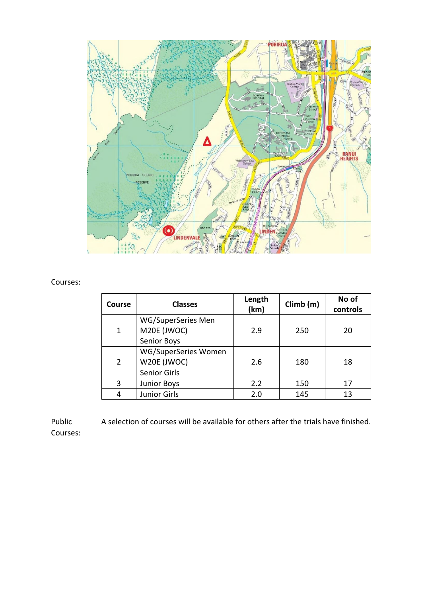

#### Courses:

| <b>Course</b>  | <b>Classes</b>                                      | Length<br>(km) | Climb(m) | No of<br>controls |
|----------------|-----------------------------------------------------|----------------|----------|-------------------|
| 1              | WG/SuperSeries Men<br>M20E (JWOC)<br>Senior Boys    | 2.9            | 250      | 20                |
| $\overline{2}$ | WG/SuperSeries Women<br>W20E (JWOC)<br>Senior Girls | 2.6            | 180      | 18                |
| 3              | <b>Junior Boys</b>                                  | 2.2            | 150      | 17                |
| 4              | Junior Girls                                        | 2.0            | 145      | 13                |

Public A selection of courses will be available for others after the trials have finished. Courses: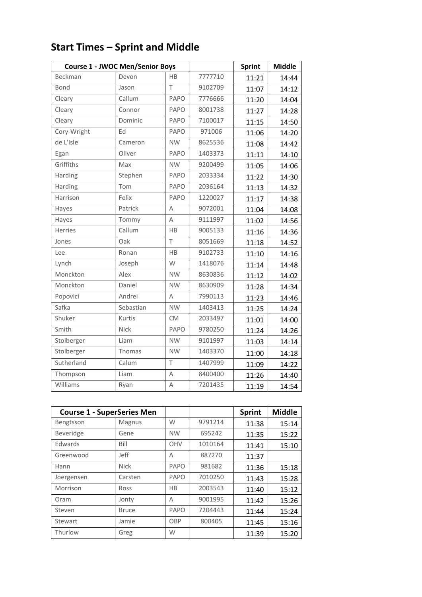|             | <b>Course 1 - JWOC Men/Senior Boys</b> |           |         | <b>Sprint</b> | <b>Middle</b> |
|-------------|----------------------------------------|-----------|---------|---------------|---------------|
| Beckman     | Devon                                  | <b>HB</b> | 7777710 | 11:21         | 14:44         |
| Bond        | Jason                                  | T         | 9102709 | 11:07         | 14:12         |
| Cleary      | Callum                                 | PAPO      | 7776666 | 11:20         | 14:04         |
| Cleary      | Connor                                 | PAPO      | 8001738 | 11:27         | 14:28         |
| Cleary      | Dominic                                | PAPO      | 7100017 | 11:15         | 14:50         |
| Cory-Wright | Ed                                     | PAPO      | 971006  | 11:06         | 14:20         |
| de L'Isle   | Cameron                                | <b>NW</b> | 8625536 | 11:08         | 14:42         |
| Egan        | Oliver                                 | PAPO      | 1403373 | 11:11         | 14:10         |
| Griffiths   | Max                                    | <b>NW</b> | 9200499 | 11:05         | 14:06         |
| Harding     | Stephen                                | PAPO      | 2033334 | 11:22         | 14:30         |
| Harding     | Tom                                    | PAPO      | 2036164 | 11:13         | 14:32         |
| Harrison    | Felix                                  | PAPO      | 1220027 | 11:17         | 14:38         |
| Hayes       | Patrick                                | Α         | 9072001 | 11:04         | 14:08         |
| Hayes       | Tommy                                  | A         | 9111997 | 11:02         | 14:56         |
| Herries     | Callum                                 | HB        | 9005133 | 11:16         | 14:36         |
| Jones       | Oak                                    | $\top$    | 8051669 | 11:18         | 14:52         |
| Lee         | Ronan                                  | HB        | 9102733 | 11:10         | 14:16         |
| Lynch       | Joseph                                 | W         | 1418076 | 11:14         | 14:48         |
| Monckton    | Alex                                   | <b>NW</b> | 8630836 | 11:12         | 14:02         |
| Monckton    | Daniel                                 | <b>NW</b> | 8630909 | 11:28         | 14:34         |
| Popovici    | Andrei                                 | Α         | 7990113 | 11:23         | 14:46         |
| Safka       | Sebastian                              | <b>NW</b> | 1403413 | 11:25         | 14:24         |
| Shuker      | Kurtis                                 | <b>CM</b> | 2033497 | 11:01         | 14:00         |
| Smith       | Nick                                   | PAPO      | 9780250 | 11:24         | 14:26         |
| Stolberger  | Liam                                   | <b>NW</b> | 9101997 | 11:03         | 14:14         |
| Stolberger  | Thomas                                 | <b>NW</b> | 1403370 | 11:00         | 14:18         |
| Sutherland  | Calum                                  | T         | 1407999 | 11:09         | 14:22         |
| Thompson    | Liam                                   | A         | 8400400 | 11:26         | 14:40         |
| Williams    | Ryan                                   | Α         | 7201435 | 11:19         | 14:54         |

## **Start Times – Sprint and Middle**

| <b>Course 1 - SuperSeries Men</b> |              |           |         | <b>Sprint</b> | <b>Middle</b> |
|-----------------------------------|--------------|-----------|---------|---------------|---------------|
| Bengtsson                         | Magnus       | W         | 9791214 | 11:38         | 15:14         |
| Beveridge                         | Gene         | <b>NW</b> | 695242  | 11:35         | 15:22         |
| Edwards                           | Bill         | OHV       | 1010164 | 11:41         | 15:10         |
| Greenwood                         | Jeff         | Α         | 887270  | 11:37         |               |
| Hann                              | <b>Nick</b>  | PAPO      | 981682  | 11:36         | 15:18         |
| Joergensen                        | Carsten      | PAPO      | 7010250 | 11:43         | 15:28         |
| Morrison                          | Ross         | НB        | 2003543 | 11:40         | 15:12         |
| Oram                              | Jonty        | A         | 9001995 | 11:42         | 15:26         |
| Steven                            | <b>Bruce</b> | PAPO      | 7204443 | 11:44         | 15:24         |
| Stewart                           | Jamie        | OBP       | 800405  | 11:45         | 15:16         |
| Thurlow                           | Greg         | W         |         | 11:39         | 15:20         |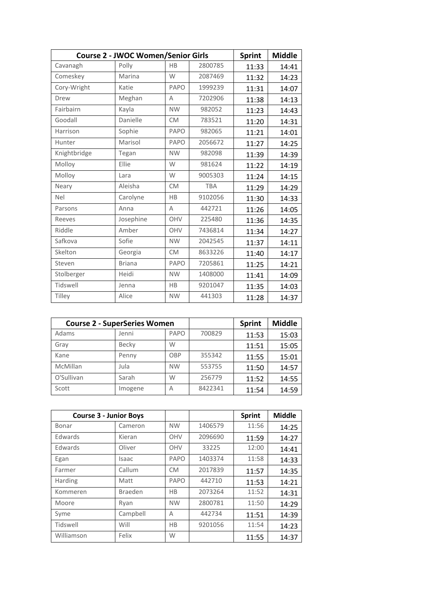|              | <b>Course 2 - JWOC Women/Senior Girls</b> |           |            |       |       |
|--------------|-------------------------------------------|-----------|------------|-------|-------|
| Cavanagh     | Polly                                     | HB        | 2800785    | 11:33 | 14:41 |
| Comeskey     | Marina                                    | W         | 2087469    | 11:32 | 14:23 |
| Cory-Wright  | Katie                                     | PAPO      | 1999239    | 11:31 | 14:07 |
| Drew         | Meghan                                    | Α         | 7202906    | 11:38 | 14:13 |
| Fairbairn    | Kayla                                     | <b>NW</b> | 982052     | 11:23 | 14:43 |
| Goodall      | Danielle                                  | <b>CM</b> | 783521     | 11:20 | 14:31 |
| Harrison     | Sophie                                    | PAPO      | 982065     | 11:21 | 14:01 |
| Hunter       | Marisol                                   | PAPO      | 2056672    | 11:27 | 14:25 |
| Knightbridge | Tegan                                     | <b>NW</b> | 982098     | 11:39 | 14:39 |
| Molloy       | Ellie                                     | W         | 981624     | 11:22 | 14:19 |
| Molloy       | Lara                                      | W         | 9005303    | 11:24 | 14:15 |
| Neary        | Aleisha                                   | <b>CM</b> | <b>TBA</b> | 11:29 | 14:29 |
| <b>Nel</b>   | Carolyne                                  | HB        | 9102056    | 11:30 | 14:33 |
| Parsons      | Anna                                      | A         | 442721     | 11:26 | 14:05 |
| Reeves       | Josephine                                 | OHV       | 225480     | 11:36 | 14:35 |
| Riddle       | Amber                                     | OHV       | 7436814    | 11:34 | 14:27 |
| Safkova      | Sofie                                     | <b>NW</b> | 2042545    | 11:37 | 14:11 |
| Skelton      | Georgia                                   | <b>CM</b> | 8633226    | 11:40 | 14:17 |
| Steven       | <b>Briana</b>                             | PAPO      | 7205861    | 11:25 | 14:21 |
| Stolberger   | Heidi                                     | <b>NW</b> | 1408000    | 11:41 | 14:09 |
| Tidswell     | Jenna                                     | HB        | 9201047    | 11:35 | 14:03 |
| Tilley       | Alice                                     | <b>NW</b> | 441303     | 11:28 | 14:37 |

| <b>Course 2 - SuperSeries Women</b> |         |           |         | <b>Sprint</b> | <b>Middle</b> |
|-------------------------------------|---------|-----------|---------|---------------|---------------|
| Adams                               | Jenni   | PAPO      | 700829  | 11:53         | 15:03         |
| Gray                                | Becky   | W         |         | 11:51         | 15:05         |
| Kane                                | Penny   | OBP       | 355342  | 11:55         | 15:01         |
| McMillan                            | Jula    | <b>NW</b> | 553755  | 11:50         | 14:57         |
| O'Sullivan                          | Sarah   | W         | 256779  | 11:52         | 14:55         |
| Scott                               | Imogene | А         | 8422341 | 11:54         | 14:59         |

| <b>Course 3 - Junior Boys</b> |          |           |         | <b>Sprint</b> | <b>Middle</b> |
|-------------------------------|----------|-----------|---------|---------------|---------------|
| Bonar                         | Cameron  | <b>NW</b> | 1406579 | 11:56         | 14:25         |
| Edwards                       | Kieran   | OHV       | 2096690 | 11:59         | 14:27         |
| <b>Edwards</b>                | Oliver   | OHV       | 33225   | 12:00         | 14:41         |
| Egan                          | Isaac    | PAPO      | 1403374 | 11:58         | 14:33         |
| Farmer                        | Callum   | <b>CM</b> | 2017839 | 11:57         | 14:35         |
| Harding                       | Matt     | PAPO      | 442710  | 11:53         | 14:21         |
| Kommeren                      | Braeden  | HB        | 2073264 | 11:52         | 14:31         |
| Moore                         | Ryan     | <b>NW</b> | 2800781 | 11:50         | 14:29         |
| Syme                          | Campbell | А         | 442734  | 11:51         | 14:39         |
| Tidswell                      | Will     | HB        | 9201056 | 11:54         | 14:23         |
| Williamson                    | Felix    | W         |         | 11:55         | 14:37         |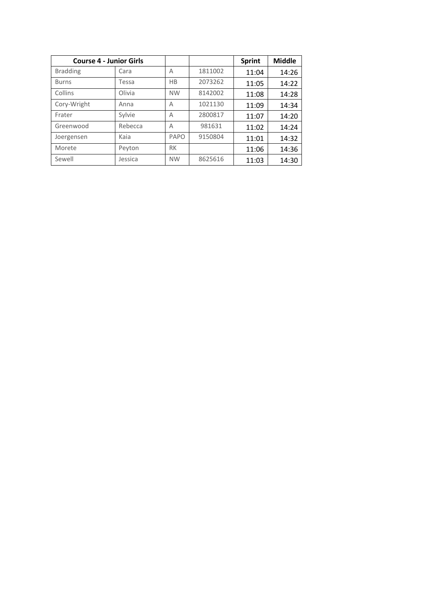| <b>Course 4 - Junior Girls</b> |         |           |         | <b>Sprint</b> | <b>Middle</b> |
|--------------------------------|---------|-----------|---------|---------------|---------------|
| <b>Bradding</b>                | Cara    | Α         | 1811002 | 11:04         | 14:26         |
| <b>Burns</b>                   | Tessa   | HB        | 2073262 | 11:05         | 14:22         |
| Collins                        | Olivia  | <b>NW</b> | 8142002 | 11:08         | 14:28         |
| Cory-Wright                    | Anna    | А         | 1021130 | 11:09         | 14:34         |
| Frater                         | Sylvie  | Α         | 2800817 | 11:07         | 14:20         |
| Greenwood                      | Rebecca | A         | 981631  | 11:02         | 14:24         |
| Joergensen                     | Kaia    | PAPO      | 9150804 | 11:01         | 14:32         |
| Morete                         | Peyton  | <b>RK</b> |         | 11:06         | 14:36         |
| Sewell                         | Jessica | <b>NW</b> | 8625616 | 11:03         | 14:30         |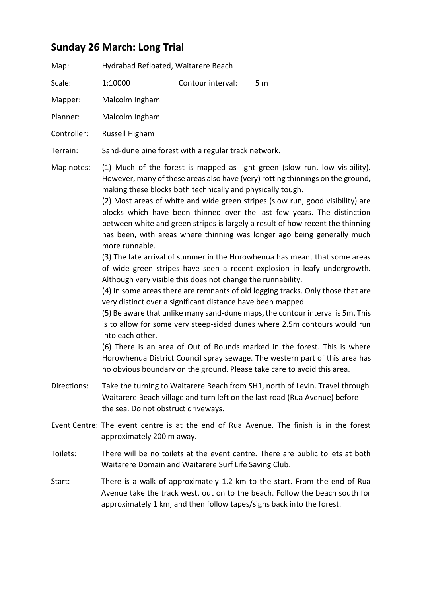### **Sunday 26 March: Long Trial**

| Map:    | Hydrabad Refloated, Waitarere Beach |                   |      |
|---------|-------------------------------------|-------------------|------|
| Scale:  | 1:10000                             | Contour interval: | .5 m |
| Mapper: | Malcolm Ingham                      |                   |      |

Planner: Malcolm Ingham

Controller: Russell Higham

Terrain: Sand-dune pine forest with a regular track network.

Map notes: (1) Much of the forest is mapped as light green (slow run, low visibility). However, many of these areas also have (very) rotting thinnings on the ground, making these blocks both technically and physically tough.

> (2) Most areas of white and wide green stripes (slow run, good visibility) are blocks which have been thinned over the last few years. The distinction between white and green stripes is largely a result of how recent the thinning has been, with areas where thinning was longer ago being generally much more runnable.

> (3) The late arrival of summer in the Horowhenua has meant that some areas of wide green stripes have seen a recent explosion in leafy undergrowth. Although very visible this does not change the runnability.

> (4) In some areas there are remnants of old logging tracks. Only those that are very distinct over a significant distance have been mapped.

> (5) Be aware that unlike many sand-dune maps, the contour interval is 5m. This is to allow for some very steep-sided dunes where 2.5m contours would run into each other.

> (6) There is an area of Out of Bounds marked in the forest. This is where Horowhenua District Council spray sewage. The western part of this area has no obvious boundary on the ground. Please take care to avoid this area.

- Directions: Take the turning to Waitarere Beach from SH1, north of Levin. Travel through Waitarere Beach village and turn left on the last road (Rua Avenue) before the sea. Do not obstruct driveways.
- Event Centre: The event centre is at the end of Rua Avenue. The finish is in the forest approximately 200 m away.
- Toilets: There will be no toilets at the event centre. There are public toilets at both Waitarere Domain and Waitarere Surf Life Saving Club.
- Start: There is a walk of approximately 1.2 km to the start. From the end of Rua Avenue take the track west, out on to the beach. Follow the beach south for approximately 1 km, and then follow tapes/signs back into the forest.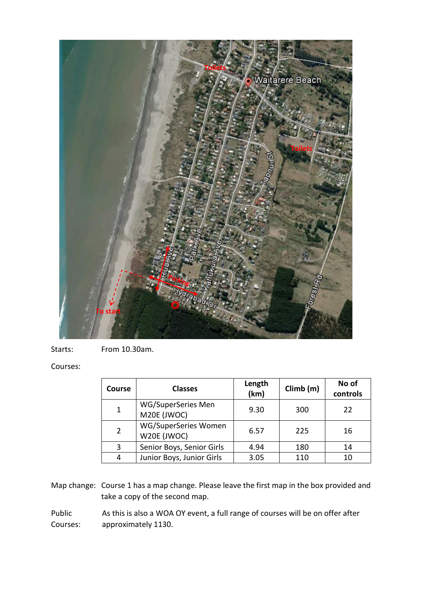

Starts: From 10.30am.

#### Courses:

| Course         | <b>Classes</b>                      | Length<br>(km) | Climb(m) | No of<br>controls |
|----------------|-------------------------------------|----------------|----------|-------------------|
| 1              | WG/SuperSeries Men<br>M20E (JWOC)   | 9.30           | 300      | 22                |
| $\overline{2}$ | WG/SuperSeries Women<br>W20E (JWOC) | 6.57           | 225      | 16                |
| 3              | Senior Boys, Senior Girls           | 4.94           | 180      | 14                |
| 4              | Junior Boys, Junior Girls           | 3.05           | 110      | 10                |

Map change: Course 1 has a map change. Please leave the first map in the box provided and take a copy of the second map.

Public As this is also a WOA OY event, a full range of courses will be on offer after Courses: approximately 1130.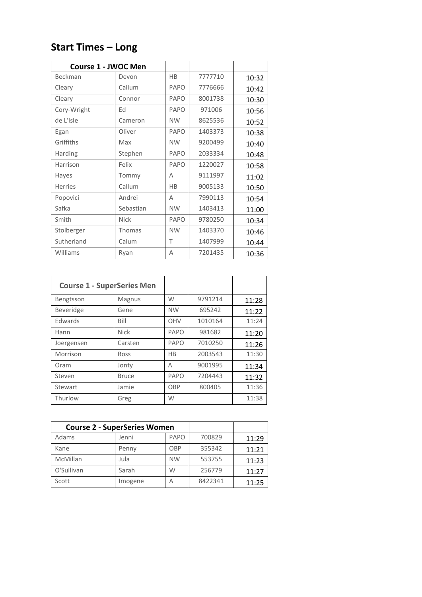| <b>Course 1 - JWOC Men</b> |             |           |         |       |
|----------------------------|-------------|-----------|---------|-------|
| Beckman                    | Devon       | HB        | 7777710 | 10:32 |
| Cleary                     | Callum      | PAPO      | 7776666 | 10:42 |
| Cleary                     | Connor      | PAPO      | 8001738 | 10:30 |
| Cory-Wright                | Ed          | PAPO      | 971006  | 10:56 |
| de L'Isle                  | Cameron     | <b>NW</b> | 8625536 | 10:52 |
| Egan                       | Oliver      | PAPO      | 1403373 | 10:38 |
| Griffiths                  | Max         | <b>NW</b> | 9200499 | 10:40 |
| Harding                    | Stephen     | PAPO      | 2033334 | 10:48 |
| Harrison                   | Felix       | PAPO      | 1220027 | 10:58 |
| Hayes                      | Tommy       | А         | 9111997 | 11:02 |
| <b>Herries</b>             | Callum      | <b>HB</b> | 9005133 | 10:50 |
| Popovici                   | Andrei      | A         | 7990113 | 10:54 |
| Safka                      | Sebastian   | <b>NW</b> | 1403413 | 11:00 |
| Smith                      | <b>Nick</b> | PAPO      | 9780250 | 10:34 |
| Stolberger                 | Thomas      | <b>NW</b> | 1403370 | 10:46 |
| Sutherland                 | Calum       | T         | 1407999 | 10:44 |
| Williams                   | Ryan        | А         | 7201435 | 10:36 |

### **Start Times – Long**

| <b>Course 1 - SuperSeries Men</b> |              |           |         |       |
|-----------------------------------|--------------|-----------|---------|-------|
| Bengtsson                         | Magnus       | W         | 9791214 | 11:28 |
| Beveridge                         | Gene         | <b>NW</b> | 695242  | 11:22 |
| Edwards                           | Bill         | OHV       | 1010164 | 11:24 |
| Hann                              | <b>Nick</b>  | PAPO      | 981682  | 11:20 |
| Joergensen                        | Carsten      | PAPO      | 7010250 | 11:26 |
| Morrison                          | Ross         | HB        | 2003543 | 11:30 |
| Oram                              | Jonty        | Α         | 9001995 | 11:34 |
| Steven                            | <b>Bruce</b> | PAPO      | 7204443 | 11:32 |
| Stewart                           | Jamie        | OBP       | 800405  | 11:36 |
| Thurlow                           | Greg         | W         |         | 11:38 |

| <b>Course 2 - SuperSeries Women</b> |         |           |         |       |
|-------------------------------------|---------|-----------|---------|-------|
| Adams                               | Jenni   | PAPO      | 700829  | 11:29 |
| Kane                                | Penny   | OBP       | 355342  | 11:21 |
| McMillan                            | Jula    | <b>NW</b> | 553755  | 11:23 |
| O'Sullivan                          | Sarah   | W         | 256779  | 11:27 |
| Scott                               | Imogene | А         | 8422341 | 11:25 |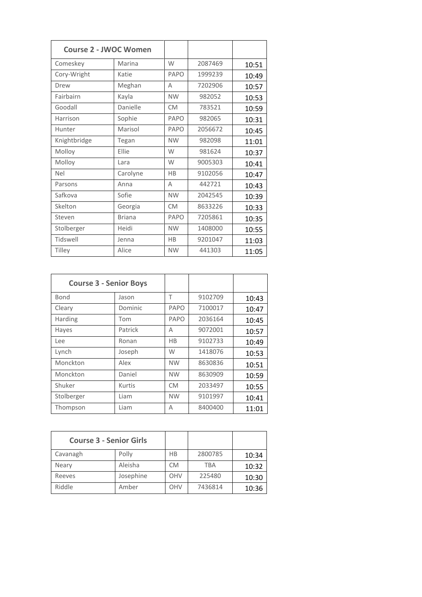|              | <b>Course 2 - JWOC Women</b> |           |         |       |
|--------------|------------------------------|-----------|---------|-------|
| Comeskey     | Marina                       | W         | 2087469 | 10:51 |
| Cory-Wright  | Katie                        | PAPO      | 1999239 | 10:49 |
| Drew         | Meghan                       | Α         | 7202906 | 10:57 |
| Fairbairn    | Kayla                        | <b>NW</b> | 982052  | 10:53 |
| Goodall      | Danielle                     | <b>CM</b> | 783521  | 10:59 |
| Harrison     | Sophie                       | PAPO      | 982065  | 10:31 |
| Hunter       | Marisol                      | PAPO      | 2056672 | 10:45 |
| Knightbridge | Tegan                        | <b>NW</b> | 982098  | 11:01 |
| Molloy       | Ellie                        | W         | 981624  | 10:37 |
| Molloy       | Lara                         | W         | 9005303 | 10:41 |
| <b>Nel</b>   | Carolyne                     | HB        | 9102056 | 10:47 |
| Parsons      | Anna                         | A         | 442721  | 10:43 |
| Safkova      | Sofie                        | <b>NW</b> | 2042545 | 10:39 |
| Skelton      | Georgia                      | <b>CM</b> | 8633226 | 10:33 |
| Steven       | <b>Briana</b>                | PAPO      | 7205861 | 10:35 |
| Stolberger   | Heidi                        | <b>NW</b> | 1408000 | 10:55 |
| Tidswell     | Jenna                        | HB        | 9201047 | 11:03 |
| Tilley       | Alice                        | <b>NW</b> | 441303  | 11:05 |

| <b>Course 3 - Senior Boys</b> |         |           |         |       |
|-------------------------------|---------|-----------|---------|-------|
| Bond                          | Jason   | Τ         | 9102709 | 10:43 |
| Cleary                        | Dominic | PAPO      | 7100017 | 10:47 |
| Harding                       | Tom     | PAPO      | 2036164 | 10:45 |
| Hayes                         | Patrick | Α         | 9072001 | 10:57 |
| Lee                           | Ronan   | НB        | 9102733 | 10:49 |
| Lynch                         | Joseph  | W         | 1418076 | 10:53 |
| Monckton                      | Alex    | <b>NW</b> | 8630836 | 10:51 |
| Monckton                      | Daniel  | <b>NW</b> | 8630909 | 10:59 |
| Shuker                        | Kurtis  | <b>CM</b> | 2033497 | 10:55 |
| Stolberger                    | Liam    | <b>NW</b> | 9101997 | 10:41 |
| Thompson                      | Liam    | A         | 8400400 | 11:01 |

| <b>Course 3 - Senior Girls</b> |           |           |            |       |
|--------------------------------|-----------|-----------|------------|-------|
| Cavanagh                       | Polly     | HB        | 2800785    | 10:34 |
| Neary                          | Aleisha   | <b>CM</b> | <b>TBA</b> | 10:32 |
| Reeves                         | Josephine | OHV       | 225480     | 10:30 |
| Riddle                         | Amber     | OHV       | 7436814    | 10:36 |